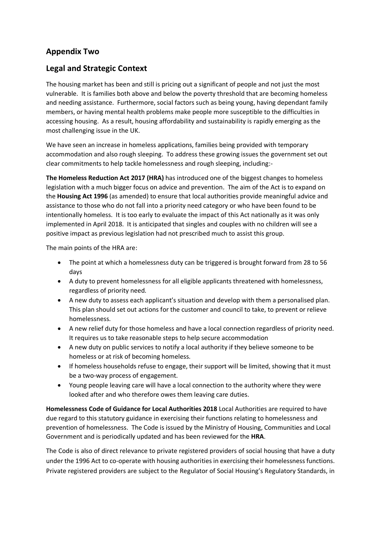# **Appendix Two**

## **Legal and Strategic Context**

The housing market has been and still is pricing out a significant of people and not just the most vulnerable. It is families both above and below the poverty threshold that are becoming homeless and needing assistance. Furthermore, social factors such as being young, having dependant family members, or having mental health problems make people more susceptible to the difficulties in accessing housing. As a result, housing affordability and sustainability is rapidly emerging as the most challenging issue in the UK.

We have seen an increase in homeless applications, families being provided with temporary accommodation and also rough sleeping. To address these growing issues the government set out clear commitments to help tackle homelessness and rough sleeping, including:-

**The Homeless Reduction Act 2017 (HRA)** has introduced one of the biggest changes to homeless legislation with a much bigger focus on advice and prevention. The aim of the Act is to expand on the **Housing Act 1996** (as amended) to ensure that local authorities provide meaningful advice and assistance to those who do not fall into a priority need category or who have been found to be intentionally homeless. It is too early to evaluate the impact of this Act nationally as it was only implemented in April 2018. It is anticipated that singles and couples with no children will see a positive impact as previous legislation had not prescribed much to assist this group.

The main points of the HRA are:

- The point at which a homelessness duty can be triggered is brought forward from 28 to 56 days
- A duty to prevent homelessness for all eligible applicants threatened with homelessness, regardless of priority need.
- A new duty to assess each applicant's situation and develop with them a personalised plan. This plan should set out actions for the customer and council to take, to prevent or relieve homelessness.
- A new relief duty for those homeless and have a local connection regardless of priority need. It requires us to take reasonable steps to help secure accommodation
- A new duty on public services to notify a local authority if they believe someone to be homeless or at risk of becoming homeless.
- If homeless households refuse to engage, their support will be limited, showing that it must be a two-way process of engagement.
- Young people leaving care will have a local connection to the authority where they were looked after and who therefore owes them leaving care duties.

**Homelessness Code of Guidance for Local Authorities 2018** Local Authorities are required to have due regard to this statutory guidance in exercising their functions relating to homelessness and prevention of homelessness. The Code is issued by the Ministry of Housing, Communities and Local Government and is periodically updated and has been reviewed for the **HRA**.

The Code is also of direct relevance to private registered providers of social housing that have a duty under the 1996 Act to co-operate with housing authorities in exercising their homelessness functions. Private registered providers are subject to the Regulator of Social Housing's Regulatory Standards, in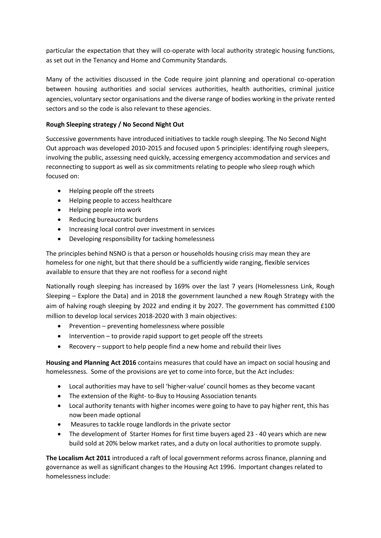particular the expectation that they will co-operate with local authority strategic housing functions, as set out in the Tenancy and Home and Community Standards.

Many of the activities discussed in the Code require joint planning and operational co-operation between housing authorities and social services authorities, health authorities, criminal justice agencies, voluntary sector organisations and the diverse range of bodies working in the private rented sectors and so the code is also relevant to these agencies.

### **Rough Sleeping strategy / No Second Night Out**

Successive governments have introduced initiatives to tackle rough sleeping. The No Second Night Out approach was developed 2010-2015 and focused upon 5 principles: identifying rough sleepers, involving the public, assessing need quickly, accessing emergency accommodation and services and reconnecting to support as well as six commitments relating to people who sleep rough which focused on:

- Helping people off the streets
- Helping people to access healthcare
- Helping people into work
- Reducing bureaucratic burdens
- Increasing local control over investment in services
- Developing responsibility for tacking homelessness

The principles behind NSNO is that a person or households housing crisis may mean they are homeless for one night, but that there should be a sufficiently wide ranging, flexible services available to ensure that they are not roofless for a second night

Nationally rough sleeping has increased by 169% over the last 7 years (Homelessness Link, Rough Sleeping – Explore the Data) and in 2018 the government launched a new Rough Strategy with the aim of halving rough sleeping by 2022 and ending it by 2027. The government has committed £100 million to develop local services 2018-2020 with 3 main objectives:

- Prevention preventing homelessness where possible
- Intervention to provide rapid support to get people off the streets
- Recovery support to help people find a new home and rebuild their lives

**Housing and Planning Act 2016** contains measures that could have an impact on social housing and homelessness. Some of the provisions are yet to come into force, but the Act includes:

- Local authorities may have to sell 'higher-value' council homes as they become vacant
- The extension of the Right- to-Buy to Housing Association tenants
- Local authority tenants with higher incomes were going to have to pay higher rent, this has now been made optional
- Measures to tackle rouge landlords in the private sector
- The development of Starter Homes for first time buyers aged 23 40 years which are new build sold at 20% below market rates, and a duty on local authorities to promote supply.

**The Localism Act 2011** introduced a raft of local government reforms across finance, planning and governance as well as significant changes to the Housing Act 1996. Important changes related to homelessness include: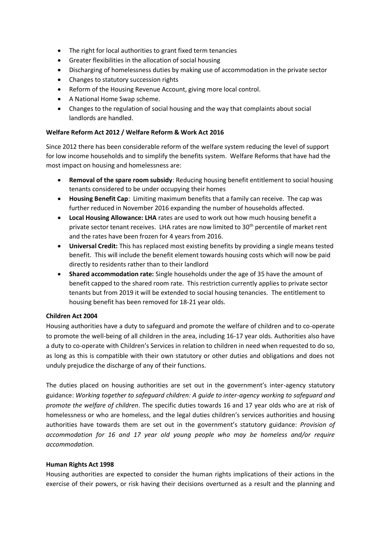- The right for local authorities to grant fixed term tenancies
- Greater flexibilities in the allocation of social housing
- Discharging of homelessness duties by making use of accommodation in the private sector
- Changes to statutory succession rights
- Reform of the Housing Revenue Account, giving more local control.
- A National Home Swap scheme.
- Changes to the regulation of social housing and the way that complaints about social landlords are handled.

### **Welfare Reform Act 2012 / Welfare Reform & Work Act 2016**

Since 2012 there has been considerable reform of the welfare system reducing the level of support for low income households and to simplify the benefits system. Welfare Reforms that have had the most impact on housing and homelessness are:

- **Removal of the spare room subsidy**: Reducing housing benefit entitlement to social housing tenants considered to be under occupying their homes
- **Housing Benefit Cap**: Limiting maximum benefits that a family can receive. The cap was further reduced in November 2016 expanding the number of households affected.
- **Local Housing Allowance: LHA** rates are used to work out how much housing benefit a private sector tenant receives. LHA rates are now limited to 30<sup>th</sup> percentile of market rent and the rates have been frozen for 4 years from 2016.
- **Universal Credit:** This has replaced most existing benefits by providing a single means tested benefit. This will include the benefit element towards housing costs which will now be paid directly to residents rather than to their landlord
- **Shared accommodation rate:** Single households under the age of 35 have the amount of benefit capped to the shared room rate. This restriction currently applies to private sector tenants but from 2019 it will be extended to social housing tenancies. The entitlement to housing benefit has been removed for 18-21 year olds.

#### **Children Act 2004**

Housing authorities have a duty to safeguard and promote the welfare of children and to co-operate to promote the well-being of all children in the area, including 16-17 year olds. Authorities also have a duty to co-operate with Children's Services in relation to children in need when requested to do so, as long as this is compatible with their own statutory or other duties and obligations and does not unduly prejudice the discharge of any of their functions.

The duties placed on housing authorities are set out in the government's inter-agency statutory guidance: *Working together to safeguard children: A guide to inter-agency working to safeguard and promote the welfare of children*. The specific duties towards 16 and 17 year olds who are at risk of homelessness or who are homeless, and the legal duties children's services authorities and housing authorities have towards them are set out in the government's statutory guidance: *Provision of accommodation for 16 and 17 year old young people who may be homeless and/or require accommodation.*

#### **Human Rights Act 1998**

Housing authorities are expected to consider the human rights implications of their actions in the exercise of their powers, or risk having their decisions overturned as a result and the planning and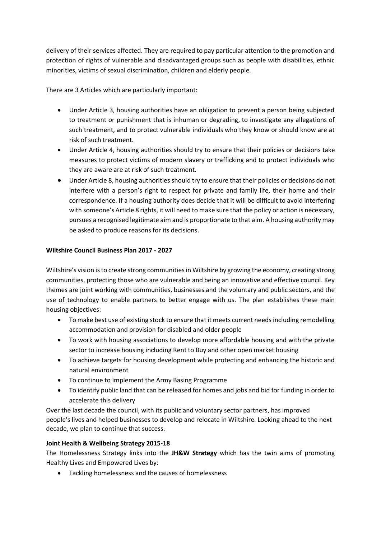delivery of their services affected. They are required to pay particular attention to the promotion and protection of rights of vulnerable and disadvantaged groups such as people with disabilities, ethnic minorities, victims of sexual discrimination, children and elderly people.

There are 3 Articles which are particularly important:

- Under Article 3, housing authorities have an obligation to prevent a person being subjected to treatment or punishment that is inhuman or degrading, to investigate any allegations of such treatment, and to protect vulnerable individuals who they know or should know are at risk of such treatment.
- Under Article 4, housing authorities should try to ensure that their policies or decisions take measures to protect victims of modern slavery or trafficking and to protect individuals who they are aware are at risk of such treatment.
- Under Article 8, housing authorities should try to ensure that their policies or decisions do not interfere with a person's right to respect for private and family life, their home and their correspondence. If a housing authority does decide that it will be difficult to avoid interfering with someone's Article 8 rights, it will need to make sure that the policy or action is necessary, pursues a recognised legitimate aim and is proportionate to that aim. A housing authority may be asked to produce reasons for its decisions.

### **Wiltshire Council Business Plan 2017 - 2027**

Wiltshire's vision is to create strong communities in Wiltshire by growing the economy, creating strong communities, protecting those who are vulnerable and being an innovative and effective council. Key themes are joint working with communities, businesses and the voluntary and public sectors, and the use of technology to enable partners to better engage with us. The plan establishes these main housing objectives:

- To make best use of existing stock to ensure that it meets current needs including remodelling accommodation and provision for disabled and older people
- To work with housing associations to develop more affordable housing and with the private sector to increase housing including Rent to Buy and other open market housing
- To achieve targets for housing development while protecting and enhancing the historic and natural environment
- To continue to implement the Army Basing Programme
- To identify public land that can be released for homes and jobs and bid for funding in order to accelerate this delivery

Over the last decade the council, with its public and voluntary sector partners, has improved people's lives and helped businesses to develop and relocate in Wiltshire. Looking ahead to the next decade, we plan to continue that success.

## **Joint Health & Wellbeing Strategy 2015-18**

The Homelessness Strategy links into the **JH&W Strategy** which has the twin aims of promoting Healthy Lives and Empowered Lives by:

Tackling homelessness and the causes of homelessness